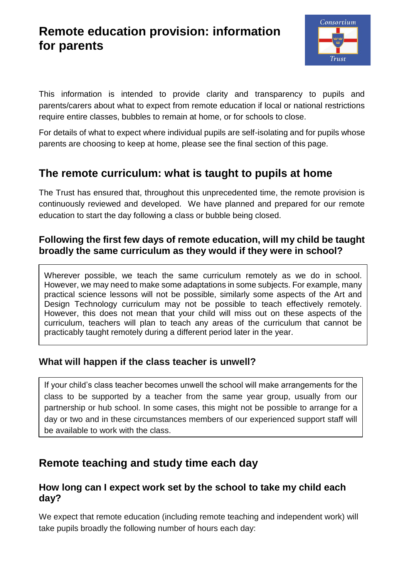# **Remote education provision: information for parents**



This information is intended to provide clarity and transparency to pupils and parents/carers about what to expect from remote education if local or national restrictions require entire classes, bubbles to remain at home, or for schools to close.

For details of what to expect where individual pupils are self-isolating and for pupils whose parents are choosing to keep at home, please see the final section of this page.

## **The remote curriculum: what is taught to pupils at home**

The Trust has ensured that, throughout this unprecedented time, the remote provision is continuously reviewed and developed. We have planned and prepared for our remote education to start the day following a class or bubble being closed.

### **Following the first few days of remote education, will my child be taught broadly the same curriculum as they would if they were in school?**

Wherever possible, we teach the same curriculum remotely as we do in school. However, we may need to make some adaptations in some subjects. For example, many practical science lessons will not be possible, similarly some aspects of the Art and Design Technology curriculum may not be possible to teach effectively remotely. However, this does not mean that your child will miss out on these aspects of the curriculum, teachers will plan to teach any areas of the curriculum that cannot be practicably taught remotely during a different period later in the year.

### **What will happen if the class teacher is unwell?**

If your child's class teacher becomes unwell the school will make arrangements for the class to be supported by a teacher from the same year group, usually from our partnership or hub school. In some cases, this might not be possible to arrange for a day or two and in these circumstances members of our experienced support staff will be available to work with the class.

## **Remote teaching and study time each day**

#### **How long can I expect work set by the school to take my child each day?**

We expect that remote education (including remote teaching and independent work) will take pupils broadly the following number of hours each day: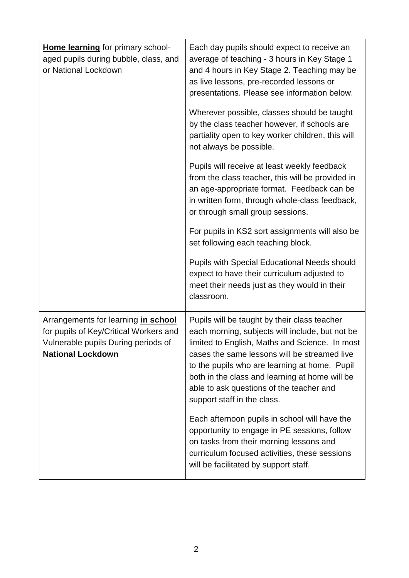| Home learning for primary school-<br>aged pupils during bubble, class, and<br>or National Lockdown                                               | Each day pupils should expect to receive an<br>average of teaching - 3 hours in Key Stage 1<br>and 4 hours in Key Stage 2. Teaching may be<br>as live lessons, pre-recorded lessons or<br>presentations. Please see information below.                                                                                                                                          |
|--------------------------------------------------------------------------------------------------------------------------------------------------|---------------------------------------------------------------------------------------------------------------------------------------------------------------------------------------------------------------------------------------------------------------------------------------------------------------------------------------------------------------------------------|
|                                                                                                                                                  | Wherever possible, classes should be taught<br>by the class teacher however, if schools are<br>partiality open to key worker children, this will<br>not always be possible.                                                                                                                                                                                                     |
|                                                                                                                                                  | Pupils will receive at least weekly feedback<br>from the class teacher, this will be provided in<br>an age-appropriate format. Feedback can be<br>in written form, through whole-class feedback,<br>or through small group sessions.                                                                                                                                            |
|                                                                                                                                                  | For pupils in KS2 sort assignments will also be<br>set following each teaching block.                                                                                                                                                                                                                                                                                           |
|                                                                                                                                                  | <b>Pupils with Special Educational Needs should</b><br>expect to have their curriculum adjusted to<br>meet their needs just as they would in their<br>classroom.                                                                                                                                                                                                                |
| Arrangements for learning in school<br>for pupils of Key/Critical Workers and<br>Vulnerable pupils During periods of<br><b>National Lockdown</b> | Pupils will be taught by their class teacher<br>each morning, subjects will include, but not be<br>limited to English, Maths and Science. In most<br>cases the same lessons will be streamed live<br>to the pupils who are learning at home. Pupil<br>both in the class and learning at home will be<br>able to ask questions of the teacher and<br>support staff in the class. |
|                                                                                                                                                  | Each afternoon pupils in school will have the<br>opportunity to engage in PE sessions, follow<br>on tasks from their morning lessons and<br>curriculum focused activities, these sessions<br>will be facilitated by support staff.                                                                                                                                              |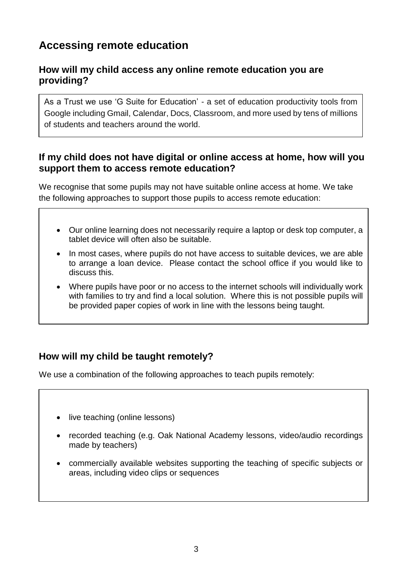## **Accessing remote education**

#### **How will my child access any online remote education you are providing?**

As a Trust we use 'G Suite for Education' - a set of education productivity tools from Google including Gmail, Calendar, Docs, Classroom, and more used by tens of millions of students and teachers around the world.

#### **If my child does not have digital or online access at home, how will you support them to access remote education?**

We recognise that some pupils may not have suitable online access at home. We take the following approaches to support those pupils to access remote education:

- Our online learning does not necessarily require a laptop or desk top computer, a tablet device will often also be suitable.
- In most cases, where pupils do not have access to suitable devices, we are able to arrange a loan device. Please contact the school office if you would like to discuss this.
- Where pupils have poor or no access to the internet schools will individually work with families to try and find a local solution. Where this is not possible pupils will be provided paper copies of work in line with the lessons being taught.

### **How will my child be taught remotely?**

We use a combination of the following approaches to teach pupils remotely:

- live teaching (online lessons)
- recorded teaching (e.g. Oak National Academy lessons, video/audio recordings made by teachers)
- commercially available websites supporting the teaching of specific subjects or areas, including video clips or sequences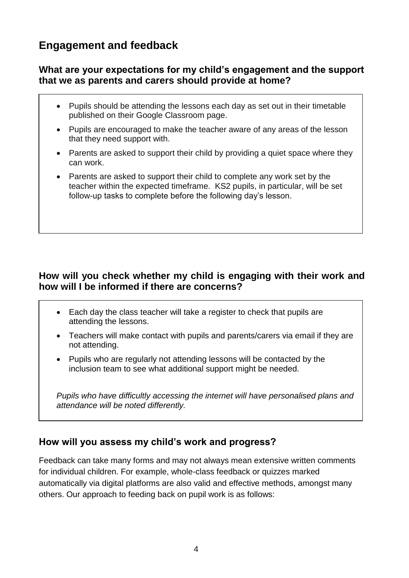## **Engagement and feedback**

#### **What are your expectations for my child's engagement and the support that we as parents and carers should provide at home?**

- Pupils should be attending the lessons each day as set out in their timetable published on their Google Classroom page.
- Pupils are encouraged to make the teacher aware of any areas of the lesson that they need support with.
- Parents are asked to support their child by providing a quiet space where they can work.
- Parents are asked to support their child to complete any work set by the teacher within the expected timeframe. KS2 pupils, in particular, will be set follow-up tasks to complete before the following day's lesson.

### **How will you check whether my child is engaging with their work and how will I be informed if there are concerns?**

- Each day the class teacher will take a register to check that pupils are attending the lessons.
- Teachers will make contact with pupils and parents/carers via email if they are not attending.
- Pupils who are regularly not attending lessons will be contacted by the inclusion team to see what additional support might be needed.

*Pupils who have difficultly accessing the internet will have personalised plans and attendance will be noted differently.*

### **How will you assess my child's work and progress?**

Feedback can take many forms and may not always mean extensive written comments for individual children. For example, whole-class feedback or quizzes marked automatically via digital platforms are also valid and effective methods, amongst many others. Our approach to feeding back on pupil work is as follows: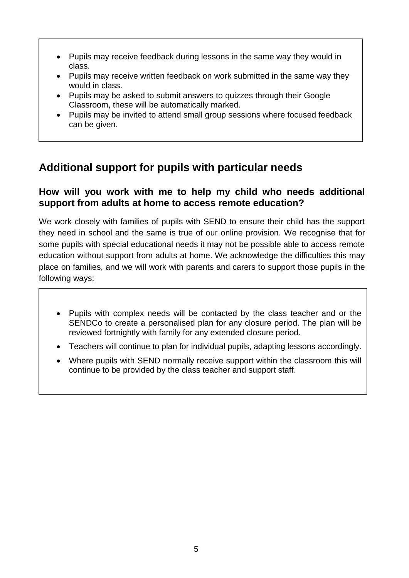- Pupils may receive feedback during lessons in the same way they would in class.
- Pupils may receive written feedback on work submitted in the same way they would in class.
- Pupils may be asked to submit answers to quizzes through their Google Classroom, these will be automatically marked.
- Pupils may be invited to attend small group sessions where focused feedback can be given.

### **Additional support for pupils with particular needs**

#### **How will you work with me to help my child who needs additional support from adults at home to access remote education?**

We work closely with families of pupils with SEND to ensure their child has the support they need in school and the same is true of our online provision. We recognise that for some pupils with special educational needs it may not be possible able to access remote education without support from adults at home. We acknowledge the difficulties this may place on families, and we will work with parents and carers to support those pupils in the following ways:

- Pupils with complex needs will be contacted by the class teacher and or the SENDCo to create a personalised plan for any closure period. The plan will be reviewed fortnightly with family for any extended closure period.
- Teachers will continue to plan for individual pupils, adapting lessons accordingly.
- Where pupils with SEND normally receive support within the classroom this will continue to be provided by the class teacher and support staff.